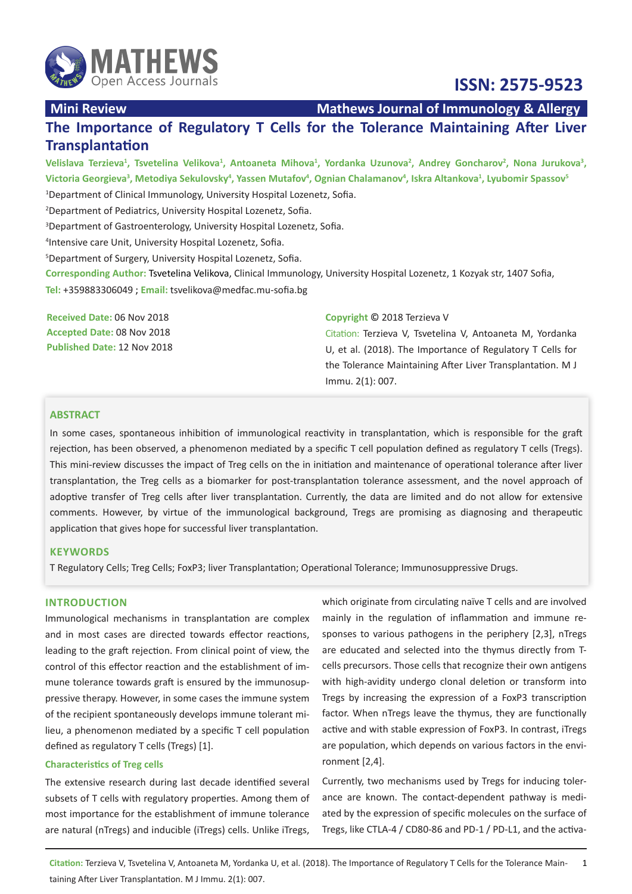

**Mini Review Mathews Journal of Immunology & Allergy** 

 **ISSN: 2575-9523**

# **The Importance of Regulatory T Cells for the Tolerance Maintaining After Liver Transplantation**

Velislava Terzieva<sup>1</sup>, Tsvetelina Velikova<sup>1</sup>, Antoaneta Mihova<sup>1</sup>, Yordanka Uzunova<sup>2</sup>, Andrey Goncharov<sup>2</sup>, Nona Jurukova<sup>3</sup>, Victoria Georgieva<sup>3</sup>, Metodiya Sekulovsky<sup>4</sup>, Yassen Mutafov<sup>4</sup>, Ognian Chalamanov<sup>4</sup>, Iskra Altankova<sup>1</sup>, Lyubomir Spassov<sup>5</sup> Department of Clinical Immunology, University Hospital Lozenetz, Sofia. Department of Pediatrics, University Hospital Lozenetz, Sofia. Department of Gastroenterology, University Hospital Lozenetz, Sofia. Intensive care Unit, University Hospital Lozenetz, Sofia. Department of Surgery, University Hospital Lozenetz, Sofia.

**Corresponding Author:** Tsvetelina Velikova, Clinical Immunology, University Hospital Lozenetz, 1 Kozyak str, 1407 Sofia, **Tel:** +359883306049 ; **Email:** [tsvelikova@medfac.mu-sofia.bg](mailto:tsvelikova%40medfac.mu-sofia.bg)

| Received Date: 06 Nov 2018         | Copyright © 2018 Terzieva V                                |
|------------------------------------|------------------------------------------------------------|
| Accepted Date: 08 Nov 2018         | Citation: Terzieva V, Tsvetelina V, Antoaneta M, Yordanka  |
| <b>Published Date: 12 Nov 2018</b> | U, et al. (2018). The Importance of Regulatory T Cells for |
|                                    | the Tolerance Maintaining After Liver Transplantation. M J |

Immu. 2(1): 007.

# **ABSTRACT**

In some cases, spontaneous inhibition of immunological reactivity in transplantation, which is responsible for the graft rejection, has been observed, a phenomenon mediated by a specific T cell population defined as regulatory T cells (Tregs). This mini-review discusses the impact of Treg cells on the in initiation and maintenance of operational tolerance after liver transplantation, the Treg cells as a biomarker for post-transplantation tolerance assessment, and the novel approach of adoptive transfer of Treg cells after liver transplantation. Currently, the data are limited and do not allow for extensive comments. However, by virtue of the immunological background, Tregs are promising as diagnosing and therapeutic application that gives hope for successful liver transplantation.

### **KEYWORDS**

T Regulatory Cells; Treg Cells; FoxP3; liver Transplantation; Operational Tolerance; Immunosuppressive Drugs.

#### **INTRODUCTION**

Immunological mechanisms in transplantation are complex and in most cases are directed towards effector reactions, leading to the graft rejection. From clinical point of view, the control of this effector reaction and the establishment of immune tolerance towards graft is ensured by the immunosuppressive therapy. However, in some cases the immune system of the recipient spontaneously develops immune tolerant milieu, a phenomenon mediated by a specific T cell population defined as regulatory T cells (Tregs) [1].

## **Characteristics of Treg cells**

The extensive research during last decade identified several subsets of T cells with regulatory properties. Among them of most importance for the establishment of immune tolerance are natural (nTregs) and inducible (iTregs) cells. Unlike iTregs,

which originate from circulating naïve T cells and are involved mainly in the regulation of inflammation and immune responses to various pathogens in the periphery [2,3], nTregs are educated and selected into the thymus directly from Tcells precursors. Those cells that recognize their own antigens with high-avidity undergo clonal deletion or transform into Tregs by increasing the expression of a FoxP3 transcription factor. When nTregs leave the thymus, they are functionally active and with stable expression of FoxP3. In contrast, iTregs are population, which depends on various factors in the environment [2,4].

Currently, two mechanisms used by Tregs for inducing tolerance are known. The contact-dependent pathway is mediated by the expression of specific molecules on the surface of Tregs, like CTLA-4 / CD80-86 and PD-1 / PD-L1, and the activa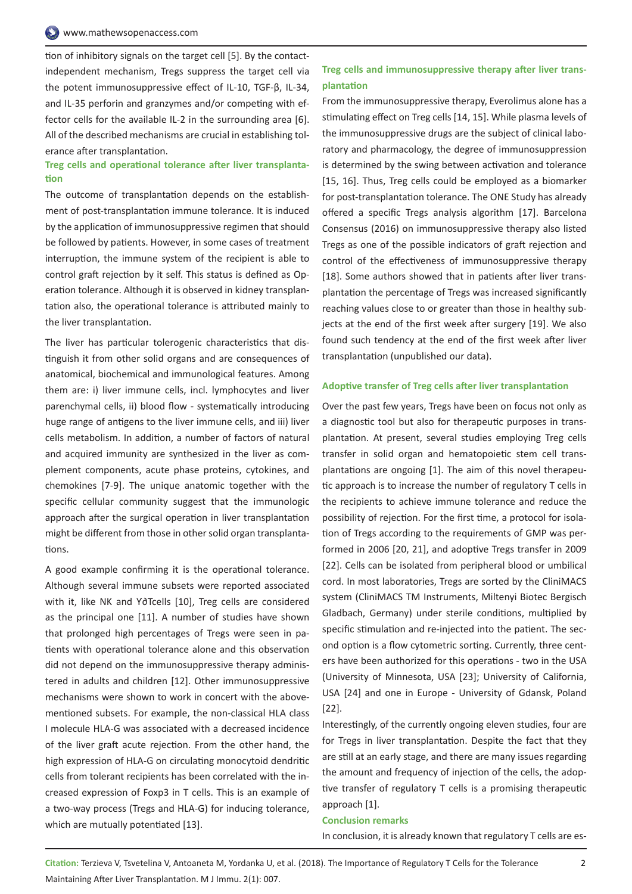tion of inhibitory signals on the target cell [5]. By the contactindependent mechanism, Tregs suppress the target cell via the potent immunosuppressive effect of IL-10, TGF-β, IL-34, and IL-35 perforin and granzymes and/or competing with effector cells for the available IL-2 in the surrounding area [6]. All of the described mechanisms are crucial in establishing tolerance after transplantation.

# **Treg cells and operational tolerance after liver transplantation**

The outcome of transplantation depends on the establishment of post-transplantation immune tolerance. It is induced by the application of immunosuppressive regimen that should be followed by patients. However, in some cases of treatment interruption, the immune system of the recipient is able to control graft rejection by it self. This status is defined as Operation tolerance. Although it is observed in kidney transplantation also, the operational tolerance is attributed mainly to the liver transplantation.

The liver has particular tolerogenic characteristics that distinguish it from other solid organs and are consequences of anatomical, biochemical and immunological features. Among them are: i) liver immune cells, incl. lymphocytes and liver parenchymal cells, ii) blood flow - systematically introducing huge range of antigens to the liver immune cells, and iii) liver cells metabolism. In addition, a number of factors of natural and acquired immunity are synthesized in the liver as complement components, acute phase proteins, cytokines, and chemokines [7-9]. The unique anatomic together with the specific cellular community suggest that the immunologic approach after the surgical operation in liver transplantation might be different from those in other solid organ transplantations.

A good example confirming it is the operational tolerance. Although several immune subsets were reported associated with it, like NK and Ƴ∂Tcells [10], Treg cells are considered as the principal one [11]. A number of studies have shown that prolonged high percentages of Tregs were seen in patients with operational tolerance alone and this observation did not depend on the immunosuppressive therapy administered in adults and children [12]. Other immunosuppressive mechanisms were shown to work in concert with the abovementioned subsets. For example, the non-classical HLA class I molecule HLA-G was associated with a decreased incidence of the liver graft acute rejection. From the other hand, the high expression of HLA-G on circulating monocytoid dendritic cells from tolerant recipients has been correlated with the increased expression of Foxp3 in T cells. This is an example of a two-way process (Tregs and HLA-G) for inducing tolerance, which are mutually potentiated [13].

# **Treg cells and immunosuppressive therapy after liver transplantation**

From the immunosuppressive therapy, Everolimus alone has a stimulating effect on Treg cells [14, 15]. While plasma levels of the immunosuppressive drugs are the subject of clinical laboratory and pharmacology, the degree of immunosuppression is determined by the swing between activation and tolerance [15, 16]. Thus, Treg cells could be employed as a biomarker for post-transplantation tolerance. The ONE Study has already offered a specific Tregs analysis algorithm [17]. Barcelona Consensus (2016) on immunosuppressive therapy also listed Tregs as one of the possible indicators of graft rejection and control of the effectiveness of immunosuppressive therapy [18]. Some authors showed that in patients after liver transplantation the percentage of Tregs was increased significantly reaching values close to or greater than those in healthy subjects at the end of the first week after surgery [19]. We also found such tendency at the end of the first week after liver transplantation (unpublished our data).

#### **Adoptive transfer of Treg cells after liver transplantation**

Over the past few years, Tregs have been on focus not only as a diagnostic tool but also for therapeutic purposes in transplantation. At present, several studies employing Treg cells transfer in solid organ and hematopoietic stem cell transplantations are ongoing [1]. The aim of this novel therapeutic approach is to increase the number of regulatory T cells in the recipients to achieve immune tolerance and reduce the possibility of rejection. For the first time, a protocol for isolation of Tregs according to the requirements of GMP was performed in 2006 [20, 21], and adoptive Tregs transfer in 2009 [22]. Cells can be isolated from peripheral blood or umbilical cord. In most laboratories, Tregs are sorted by the CliniMACS system (CliniMACS TM Instruments, Miltenyi Biotec Bergisch Gladbach, Germany) under sterile conditions, multiplied by specific stimulation and re-injected into the patient. The second option is a flow cytometric sorting. Currently, three centers have been authorized for this operations - two in the USA (University of Minnesota, USA [23]; University of California, USA [24] and one in Europe - University of Gdansk, Poland [22].

Interestingly, of the currently ongoing eleven studies, four are for Tregs in liver transplantation. Despite the fact that they are still at an early stage, and there are many issues regarding the amount and frequency of injection of the cells, the adoptive transfer of regulatory T cells is a promising therapeutic approach [1].

#### **Conclusion remarks**

In conclusion, it is already known that regulatory T cells are es-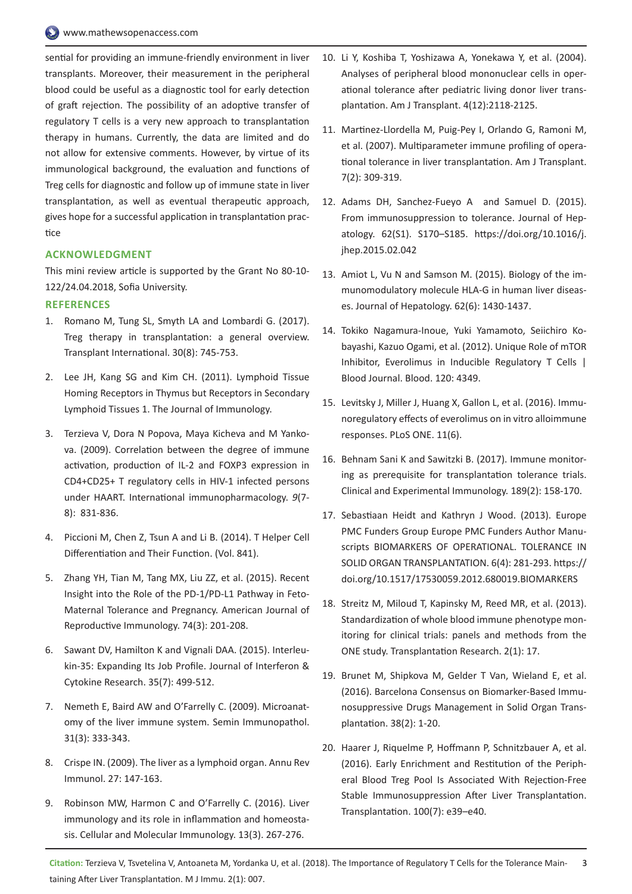sential for providing an immune-friendly environment in liver transplants. Moreover, their measurement in the peripheral blood could be useful as a diagnostic tool for early detection of graft rejection. The possibility of an adoptive transfer of regulatory T cells is a very new approach to transplantation therapy in humans. Currently, the data are limited and do not allow for extensive comments. However, by virtue of its immunological background, the evaluation and functions of Treg cells for diagnostic and follow up of immune state in liver transplantation, as well as eventual therapeutic approach, gives hope for a successful application in transplantation practice

#### **ACKNOWLEDGMENT**

This mini review article is supported by the Grant No 80-10- 122/24.04.2018, Sofia University.

### **REFERENCES**

- 1. [Romano M, Tung SL, Smyth LA and Lombardi G. \(2017\).](https://onlinelibrary.wiley.com/doi/full/10.1111/tri.12909)  [Treg therapy in transplantation: a general overview.](https://onlinelibrary.wiley.com/doi/full/10.1111/tri.12909)  [Transplant International. 30\(8\): 745-753.](https://onlinelibrary.wiley.com/doi/full/10.1111/tri.12909)
- 2. Lee JH, Kang SG and Kim CH. (2011). Lymphoid Tissue Homing Receptors in Thymus but Receptors in Secondary Lymphoid Tissues 1. The Journal of Immunology.
- 3. [Terzieva V, Dora N Popova, Maya Kicheva and M Yanko](https://www.researchgate.net/publication/24216672_Correlation_between_the_degree_of_immune_activation_production_of_IL-2_and_FOXP3_expression_in_CD4CD25T_regulatory_cells_in_HIV-1_infected_persons_under_HAART)[va. \(2009\). Correlation between the degree of immune](https://www.researchgate.net/publication/24216672_Correlation_between_the_degree_of_immune_activation_production_of_IL-2_and_FOXP3_expression_in_CD4CD25T_regulatory_cells_in_HIV-1_infected_persons_under_HAART)  [activation, production of IL-2 and FOXP3 expression in](https://www.researchgate.net/publication/24216672_Correlation_between_the_degree_of_immune_activation_production_of_IL-2_and_FOXP3_expression_in_CD4CD25T_regulatory_cells_in_HIV-1_infected_persons_under_HAART)  [CD4+CD25+ T regulatory cells in HIV-1 infected persons](https://www.researchgate.net/publication/24216672_Correlation_between_the_degree_of_immune_activation_production_of_IL-2_and_FOXP3_expression_in_CD4CD25T_regulatory_cells_in_HIV-1_infected_persons_under_HAART)  [under HAART. International immunopharmacology.](https://www.researchgate.net/publication/24216672_Correlation_between_the_degree_of_immune_activation_production_of_IL-2_and_FOXP3_expression_in_CD4CD25T_regulatory_cells_in_HIV-1_infected_persons_under_HAART) *9*(7- [8\): 831-836.](https://www.researchgate.net/publication/24216672_Correlation_between_the_degree_of_immune_activation_production_of_IL-2_and_FOXP3_expression_in_CD4CD25T_regulatory_cells_in_HIV-1_infected_persons_under_HAART)
- 4. [Piccioni M, Chen Z, Tsun A and Li B. \(2014\). T Helper Cell](https://link.springer.com/book/10.1007%2F978-94-017-9487-9)  [Differentiation and Their Function. \(Vol. 841\).](https://link.springer.com/book/10.1007%2F978-94-017-9487-9)
- 5. [Zhang YH, Tian M, Tang MX, Liu ZZ, et al. \(2015\). Recent](https://onlinelibrary.wiley.com/doi/abs/10.1111/aji.12365)  [Insight into the Role of the PD-1/PD-L1 Pathway in Feto-](https://onlinelibrary.wiley.com/doi/abs/10.1111/aji.12365)[Maternal Tolerance and Pregnancy. American Journal of](https://onlinelibrary.wiley.com/doi/abs/10.1111/aji.12365)  [Reproductive Immunology. 74\(3\): 201-208.](https://onlinelibrary.wiley.com/doi/abs/10.1111/aji.12365)
- 6. [Sawant DV, Hamilton K and Vignali DAA. \(2015\). Interleu](https://www.liebertpub.com/doi/10.1089/jir.2015.0015)[kin-35: Expanding Its Job Profile. Journal of Interferon &](https://www.liebertpub.com/doi/10.1089/jir.2015.0015)  [Cytokine Research. 35\(7\): 499-512.](https://www.liebertpub.com/doi/10.1089/jir.2015.0015)
- 7. [Nemeth E, Baird AW and O'Farrelly C. \(2009\). Microanat](https://www.ncbi.nlm.nih.gov/pubmed/19639317)[omy of the liver immune system. Semin Immunopathol.](https://www.ncbi.nlm.nih.gov/pubmed/19639317)  [31\(3\): 333-343.](https://www.ncbi.nlm.nih.gov/pubmed/19639317)
- 8. [Crispe IN. \(2009\). The liver as a lymphoid organ. Annu Rev](https://www.ncbi.nlm.nih.gov/pubmed/19302037)  [Immunol. 27: 147-163.](https://www.ncbi.nlm.nih.gov/pubmed/19302037)
- 9. [Robinson MW, Harmon C and O'Farrelly C. \(2016\). Liver](https://www.nature.com/articles/cmi20163)  [immunology and its role in inflammation and homeosta](https://www.nature.com/articles/cmi20163)[sis. Cellular and Molecular Immunology. 13\(3\). 267-276](https://www.nature.com/articles/cmi20163).
- 10. Li Y, [Koshiba T, Yoshizawa A, Yonekawa Y, et al. \(2004\).](https://www.ncbi.nlm.nih.gov/pubmed/15575917)  [Analyses of peripheral blood mononuclear cells in oper](https://www.ncbi.nlm.nih.gov/pubmed/15575917)[ational tolerance after pediatric living donor liver trans](https://www.ncbi.nlm.nih.gov/pubmed/15575917)[plantation. Am J Transplant. 4\(12\):2118-2125.](https://www.ncbi.nlm.nih.gov/pubmed/15575917)
- 11. [Martinez-Llordella M, Puig-Pey I, Orlando G, Ramoni M,](https://www.ncbi.nlm.nih.gov/pubmed/17241111)  [et al. \(2007\). Multiparameter immune profiling of opera](https://www.ncbi.nlm.nih.gov/pubmed/17241111)[tional tolerance in liver transplantation. Am J Transplant.](https://www.ncbi.nlm.nih.gov/pubmed/17241111)  [7\(2\): 309-319.](https://www.ncbi.nlm.nih.gov/pubmed/17241111)
- 12. [Adams DH, Sanchez-Fueyo A and Samuel D. \(2015\).](https://www.journal-of-hepatology.eu/article/S0168-8278(15)00158-0/abstract)  [From immunosuppression to tolerance. Journal of Hep](https://www.journal-of-hepatology.eu/article/S0168-8278(15)00158-0/abstract)[atology. 62\(S1\). S170–S185.](https://www.journal-of-hepatology.eu/article/S0168-8278(15)00158-0/abstract) [https://doi.org/10.1016/j.](https://doi.org/10.1016/j.jhep.2015.02.042) [jhep.2015.02.042](https://doi.org/10.1016/j.jhep.2015.02.042)
- 13. [Amiot L, Vu N and Samson M. \(2015\). Biology of the im](https://www.ncbi.nlm.nih.gov/pubmed/25772038)[munomodulatory molecule HLA-G in human liver diseas](https://www.ncbi.nlm.nih.gov/pubmed/25772038)[es. Journal of Hepatology. 62\(6\): 1430-1437.](https://www.ncbi.nlm.nih.gov/pubmed/25772038)
- 14. Tokiko Nagamura-Inoue, Yuki Yamamoto, Seiichiro Kobayashi, Kazuo Ogami, et al. (2012). Unique Role of mTOR Inhibitor, Everolimus in Inducible Regulatory T Cells | Blood Journal. Blood. 120: 4349.
- 15. [Levitsky J, Miller J, Huang X, Gallon L, et al. \(2016\). Immu](https://journals.plos.org/plosone/article?id=10.1371/journal.pone.0156535)[noregulatory effects of everolimus on in vitro alloimmune](https://journals.plos.org/plosone/article?id=10.1371/journal.pone.0156535)  [responses. PLoS ONE. 11\(6\).](https://journals.plos.org/plosone/article?id=10.1371/journal.pone.0156535)
- 16. [Behnam Sani K and Sawitzki B. \(2017\). Immune monitor](https://onlinelibrary.wiley.com/doi/full/10.1111/cei.12988)[ing as prerequisite for transplantation tolerance trials.](https://onlinelibrary.wiley.com/doi/full/10.1111/cei.12988)  [Clinical and Experimental Immunology. 189\(2\): 158-170.](https://onlinelibrary.wiley.com/doi/full/10.1111/cei.12988)
- 17. [Sebastiaan Heidt and Kathryn J Wood. \(2013\). Europe](http://europepmc.org/articles/pmc3442251)  [PMC Funders Group Europe PMC Funders Author Manu](http://europepmc.org/articles/pmc3442251)[scripts BIOMARKERS OF OPERATIONAL. TOLERANCE IN](http://europepmc.org/articles/pmc3442251)  [SOLID ORGAN TRANSPLANTATION. 6\(4\): 281-293.](http://europepmc.org/articles/pmc3442251) [https://](https://doi.org/10.1517/17530059.2012.680019.BIOMARKERS) [doi.org/10.1517/17530059.2012.680019.BIOMARKERS](https://doi.org/10.1517/17530059.2012.680019.BIOMARKERS)
- 18. [Streitz M, Miloud T, Kapinsky M, Reed MR, et al. \(2013\).](https://transplantationresearch.biomedcentral.com/articles/10.1186/2047-1440-2-17)  [Standardization of whole blood immune phenotype mon](https://transplantationresearch.biomedcentral.com/articles/10.1186/2047-1440-2-17)[itoring for clinical trials: panels and methods from the](https://transplantationresearch.biomedcentral.com/articles/10.1186/2047-1440-2-17)  [ONE study. Transplantation Research. 2\(1\): 17.](https://transplantationresearch.biomedcentral.com/articles/10.1186/2047-1440-2-17)
- 19. [Brunet M, Shipkova M, Gelder T Van, Wieland E, et al.](https://www.ncbi.nlm.nih.gov/pubmed/26977997)  [\(2016\). Barcelona Consensus on Biomarker-Based Immu](https://www.ncbi.nlm.nih.gov/pubmed/26977997)[nosuppressive Drugs Management in Solid Organ Trans](https://www.ncbi.nlm.nih.gov/pubmed/26977997)[plantation. 38\(2\): 1-20.](https://www.ncbi.nlm.nih.gov/pubmed/26977997)
- 20. [Haarer J, Riquelme P, Hoffmann P, Schnitzbauer A, et al.](https://journals.lww.com/transplantjournal/Fulltext/2016/07000/Early_Enrichment_and_Restitution_of_the_Peripheral.35.aspx)  [\(2016\). Early Enrichment and Restitution of the Periph](https://journals.lww.com/transplantjournal/Fulltext/2016/07000/Early_Enrichment_and_Restitution_of_the_Peripheral.35.aspx)[eral Blood Treg Pool Is Associated With Rejection-Free](https://journals.lww.com/transplantjournal/Fulltext/2016/07000/Early_Enrichment_and_Restitution_of_the_Peripheral.35.aspx)  [Stable Immunosuppression After Liver Transplantation.](https://journals.lww.com/transplantjournal/Fulltext/2016/07000/Early_Enrichment_and_Restitution_of_the_Peripheral.35.aspx)  [Transplantation. 100\(7\): e39–e40.](https://journals.lww.com/transplantjournal/Fulltext/2016/07000/Early_Enrichment_and_Restitution_of_the_Peripheral.35.aspx)

**Citation:** Terzieva V, Tsvetelina V, Antoaneta M, Yordanka U, et al. (2018). The Importance of Regulatory T Cells for the Tolerance Main- 3 taining After Liver Transplantation. M J Immu. 2(1): 007.